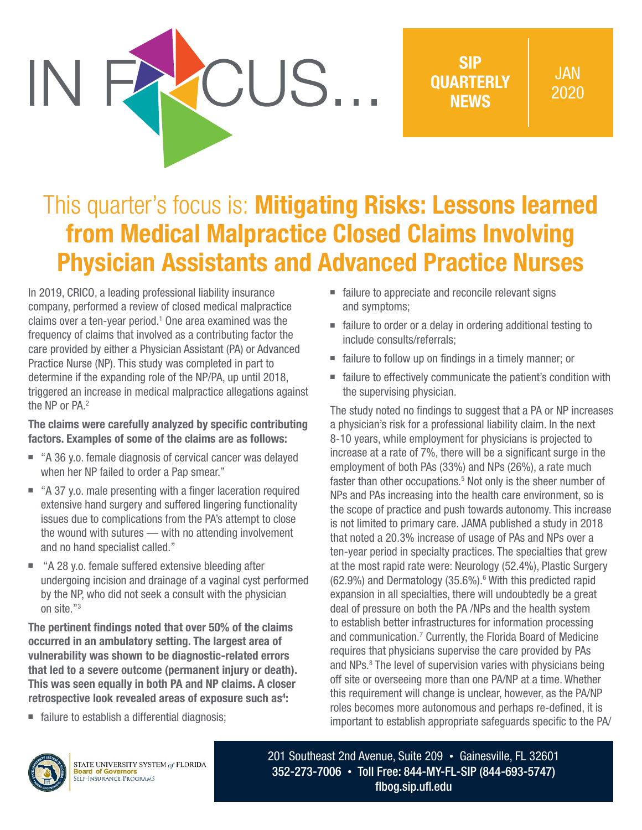SIP **OUARTERLY** NEWS

## This quarter's focus is: Mitigating Risks: Lessons learned from Medical Malpractice Closed Claims Involving Physician Assistants and Advanced Practice Nurses

CUS.

In 2019, CRICO, a leading professional liability insurance company, performed a review of closed medical malpractice claims over a ten-year period.<sup>1</sup> One area examined was the frequency of claims that involved as a contributing factor the care provided by either a Physician Assistant (PA) or Advanced Practice Nurse (NP). This study was completed in part to determine if the expanding role of the NP/PA, up until 2018, triggered an increase in medical malpractice allegations against the NP or PA.<sup>2</sup>

The claims were carefully analyzed by specific contributing factors. Examples of some of the claims are as follows:

- "A 36 y.o. female diagnosis of cervical cancer was delayed when her NP failed to order a Pap smear."
- "A 37 y.o. male presenting with a finger laceration required extensive hand surgery and suffered lingering functionality issues due to complications from the PA's attempt to close the wound with sutures — with no attending involvement and no hand specialist called."
- "A 28 y.o. female suffered extensive bleeding after undergoing incision and drainage of a vaginal cyst performed by the NP, who did not seek a consult with the physician on site."3

The pertinent findings noted that over 50% of the claims occurred in an ambulatory setting. The largest area of vulnerability was shown to be diagnostic-related errors that led to a severe outcome (permanent injury or death). This was seen equally in both PA and NP claims. A closer retrospective look revealed areas of exposure such as<sup>4</sup>:

■ failure to establish a differential diagnosis;

- failure to appreciate and reconcile relevant signs and symptoms;
- failure to order or a delay in ordering additional testing to include consults/referrals;
- failure to follow up on findings in a timely manner; or
- failure to effectively communicate the patient's condition with the supervising physician.

The study noted no findings to suggest that a PA or NP increases a physician's risk for a professional liability claim. In the next 8-10 years, while employment for physicians is projected to increase at a rate of 7%, there will be a significant surge in the employment of both PAs (33%) and NPs (26%), a rate much faster than other occupations.<sup>5</sup> Not only is the sheer number of NPs and PAs increasing into the health care environment, so is the scope of practice and push towards autonomy. This increase is not limited to primary care. JAMA published a study in 2018 that noted a 20.3% increase of usage of PAs and NPs over a ten-year period in specialty practices. The specialties that grew at the most rapid rate were: Neurology (52.4%), Plastic Surgery  $(62.9%)$  and Dermatology  $(35.6%)$ . With this predicted rapid expansion in all specialties, there will undoubtedly be a great deal of pressure on both the PA /NPs and the health system to establish better infrastructures for information processing and communication.7 Currently, the Florida Board of Medicine requires that physicians supervise the care provided by PAs and NPs.<sup>8</sup> The level of supervision varies with physicians being off site or overseeing more than one PA/NP at a time. Whether this requirement will change is unclear, however, as the PA/NP roles becomes more autonomous and perhaps re-defined, it is important to establish appropriate safeguards specific to the PA/



STATE UNIVERSITY SYSTEM of FLORIDA **Board of Governors**<br>SELF-INSURANCE PROGRAMS

201 Southeast 2nd Avenue, Suite 209 • Gainesville, FL 32601 352-273-7006 • Toll Free: 844-MY-FL-SIP (844-693-5747) [flbog.sip.ufl.edu](http://flbog.sip.ufl.edu)